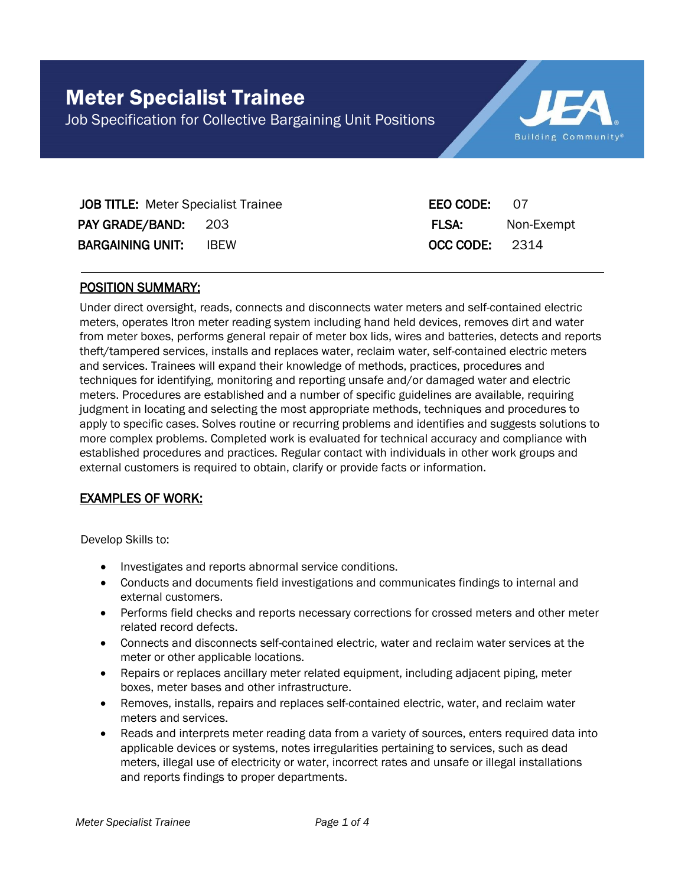

| <b>JOB TITLE:</b> Meter Specialist Trainee |  | EEO CODE: 07   |            |
|--------------------------------------------|--|----------------|------------|
| PAY GRADE/BAND: 203                        |  | FLSA:          | Non-Exempt |
| <b>BARGAINING UNIT: IBEW</b>               |  | OCC CODE: 2314 |            |

#### POSITION SUMMARY:

Under direct oversight, reads, connects and disconnects water meters and self-contained electric meters, operates Itron meter reading system including hand held devices, removes dirt and water from meter boxes, performs general repair of meter box lids, wires and batteries, detects and reports theft/tampered services, installs and replaces water, reclaim water, self-contained electric meters and services. Trainees will expand their knowledge of methods, practices, procedures and techniques for identifying, monitoring and reporting unsafe and/or damaged water and electric meters. Procedures are established and a number of specific guidelines are available, requiring judgment in locating and selecting the most appropriate methods, techniques and procedures to apply to specific cases. Solves routine or recurring problems and identifies and suggests solutions to more complex problems. Completed work is evaluated for technical accuracy and compliance with established procedures and practices. Regular contact with individuals in other work groups and external customers is required to obtain, clarify or provide facts or information.

## EXAMPLES OF WORK:

Develop Skills to:

- Investigates and reports abnormal service conditions.
- Conducts and documents field investigations and communicates findings to internal and external customers.
- Performs field checks and reports necessary corrections for crossed meters and other meter related record defects.
- Connects and disconnects self-contained electric, water and reclaim water services at the meter or other applicable locations.
- Repairs or replaces ancillary meter related equipment, including adjacent piping, meter boxes, meter bases and other infrastructure.
- Removes, installs, repairs and replaces self-contained electric, water, and reclaim water meters and services.
- Reads and interprets meter reading data from a variety of sources, enters required data into applicable devices or systems, notes irregularities pertaining to services, such as dead meters, illegal use of electricity or water, incorrect rates and unsafe or illegal installations and reports findings to proper departments.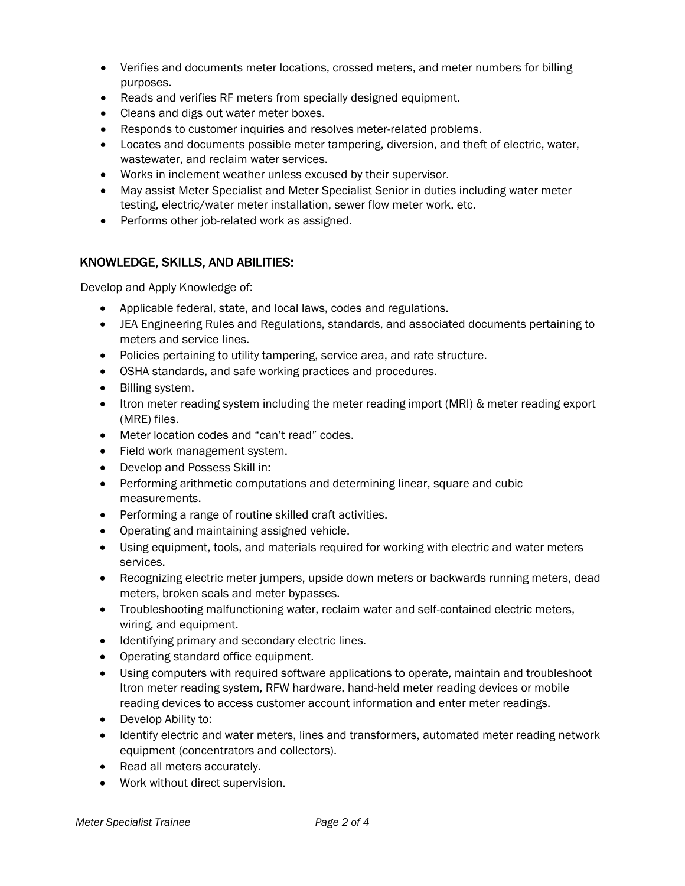- Verifies and documents meter locations, crossed meters, and meter numbers for billing purposes.
- Reads and verifies RF meters from specially designed equipment.
- Cleans and digs out water meter boxes.
- Responds to customer inquiries and resolves meter-related problems.
- Locates and documents possible meter tampering, diversion, and theft of electric, water, wastewater, and reclaim water services.
- Works in inclement weather unless excused by their supervisor.
- May assist Meter Specialist and Meter Specialist Senior in duties including water meter testing, electric/water meter installation, sewer flow meter work, etc.
- Performs other job-related work as assigned.

# KNOWLEDGE, SKILLS, AND ABILITIES:

Develop and Apply Knowledge of:

- Applicable federal, state, and local laws, codes and regulations.
- JEA Engineering Rules and Regulations, standards, and associated documents pertaining to meters and service lines.
- Policies pertaining to utility tampering, service area, and rate structure.
- OSHA standards, and safe working practices and procedures.
- Billing system.
- Itron meter reading system including the meter reading import (MRI) & meter reading export (MRE) files.
- Meter location codes and "can't read" codes.
- Field work management system.
- Develop and Possess Skill in:
- Performing arithmetic computations and determining linear, square and cubic measurements.
- Performing a range of routine skilled craft activities.
- Operating and maintaining assigned vehicle.
- Using equipment, tools, and materials required for working with electric and water meters services.
- Recognizing electric meter jumpers, upside down meters or backwards running meters, dead meters, broken seals and meter bypasses.
- Troubleshooting malfunctioning water, reclaim water and self-contained electric meters, wiring, and equipment.
- Identifying primary and secondary electric lines.
- Operating standard office equipment.
- Using computers with required software applications to operate, maintain and troubleshoot Itron meter reading system, RFW hardware, hand-held meter reading devices or mobile reading devices to access customer account information and enter meter readings.
- Develop Ability to:
- Identify electric and water meters, lines and transformers, automated meter reading network equipment (concentrators and collectors).
- Read all meters accurately.
- Work without direct supervision.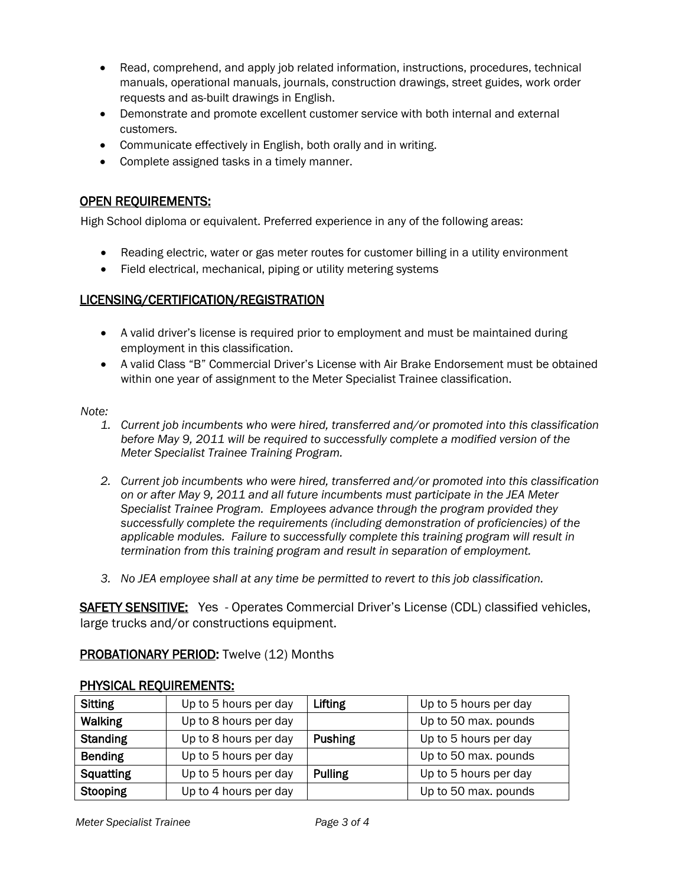- Read, comprehend, and apply job related information, instructions, procedures, technical manuals, operational manuals, journals, construction drawings, street guides, work order requests and as-built drawings in English.
- Demonstrate and promote excellent customer service with both internal and external customers.
- Communicate effectively in English, both orally and in writing.
- Complete assigned tasks in a timely manner.

## OPEN REQUIREMENTS:

High School diploma or equivalent. Preferred experience in any of the following areas:

- Reading electric, water or gas meter routes for customer billing in a utility environment
- Field electrical, mechanical, piping or utility metering systems

## LICENSING/CERTIFICATION/REGISTRATION

- A valid driver's license is required prior to employment and must be maintained during employment in this classification.
- A valid Class "B" Commercial Driver's License with Air Brake Endorsement must be obtained within one year of assignment to the Meter Specialist Trainee classification.

#### *Note:*

- *1. Current job incumbents who were hired, transferred and/or promoted into this classification before May 9, 2011 will be required to successfully complete a modified version of the Meter Specialist Trainee Training Program.*
- *2. Current job incumbents who were hired, transferred and/or promoted into this classification on or after May 9, 2011 and all future incumbents must participate in the JEA Meter Specialist Trainee Program. Employees advance through the program provided they successfully complete the requirements (including demonstration of proficiencies) of the applicable modules. Failure to successfully complete this training program will result in termination from this training program and result in separation of employment.*
- *3. No JEA employee shall at any time be permitted to revert to this job classification.*

SAFETY SENSITIVE: Yes - Operates Commercial Driver's License (CDL) classified vehicles, large trucks and/or constructions equipment.

## PROBATIONARY PERIOD: Twelve (12) Months

| <b>Sitting</b>   | Up to 5 hours per day | Lifting        | Up to 5 hours per day |
|------------------|-----------------------|----------------|-----------------------|
| <b>Walking</b>   | Up to 8 hours per day |                | Up to 50 max. pounds  |
| <b>Standing</b>  | Up to 8 hours per day | <b>Pushing</b> | Up to 5 hours per day |
| <b>Bending</b>   | Up to 5 hours per day |                | Up to 50 max. pounds  |
| <b>Squatting</b> | Up to 5 hours per day | <b>Pulling</b> | Up to 5 hours per day |
| Stooping         | Up to 4 hours per day |                | Up to 50 max. pounds  |

## PHYSICAL REQUIREMENTS: